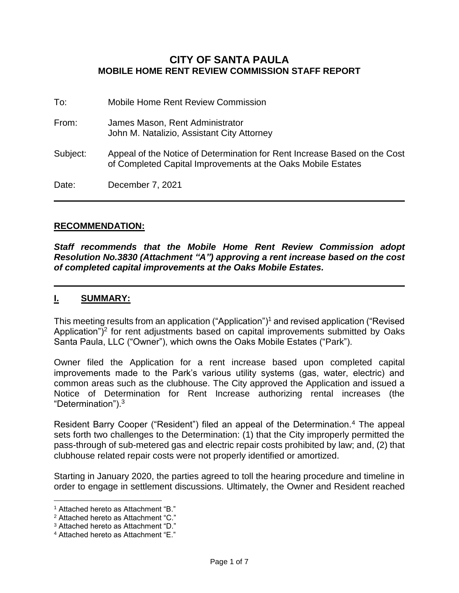### **CITY OF SANTA PAULA MOBILE HOME RENT REVIEW COMMISSION STAFF REPORT**

| To:      | Mobile Home Rent Review Commission                                                                                                        |
|----------|-------------------------------------------------------------------------------------------------------------------------------------------|
| From:    | James Mason, Rent Administrator<br>John M. Natalizio, Assistant City Attorney                                                             |
| Subject: | Appeal of the Notice of Determination for Rent Increase Based on the Cost<br>of Completed Capital Improvements at the Oaks Mobile Estates |
| Date:    | December 7, 2021                                                                                                                          |

#### **RECOMMENDATION:**

*Staff recommends that the Mobile Home Rent Review Commission adopt Resolution No.3830 (Attachment "A") approving a rent increase based on the cost of completed capital improvements at the Oaks Mobile Estates.* 

### **I. SUMMARY:**

This meeting results from an application ("Application")<sup>1</sup> and revised application ("Revised Application")<sup>2</sup> for rent adjustments based on capital improvements submitted by Oaks Santa Paula, LLC ("Owner"), which owns the Oaks Mobile Estates ("Park").

Owner filed the Application for a rent increase based upon completed capital improvements made to the Park's various utility systems (gas, water, electric) and common areas such as the clubhouse. The City approved the Application and issued a Notice of Determination for Rent Increase authorizing rental increases (the "Determination").<sup>3</sup>

Resident Barry Cooper ("Resident") filed an appeal of the Determination.<sup>4</sup> The appeal sets forth two challenges to the Determination: (1) that the City improperly permitted the pass-through of sub-metered gas and electric repair costs prohibited by law; and, (2) that clubhouse related repair costs were not properly identified or amortized.

Starting in January 2020, the parties agreed to toll the hearing procedure and timeline in order to engage in settlement discussions. Ultimately, the Owner and Resident reached

 $\overline{a}$ 

<sup>1</sup> Attached hereto as Attachment "B."

<sup>2</sup> Attached hereto as Attachment "C."

<sup>3</sup> Attached hereto as Attachment "D."

<sup>4</sup> Attached hereto as Attachment "E."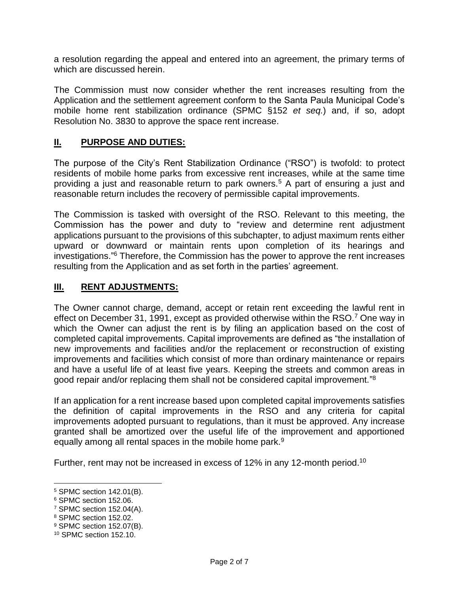a resolution regarding the appeal and entered into an agreement, the primary terms of which are discussed herein.

The Commission must now consider whether the rent increases resulting from the Application and the settlement agreement conform to the Santa Paula Municipal Code's mobile home rent stabilization ordinance (SPMC §152 *et seq.*) and, if so, adopt Resolution No. 3830 to approve the space rent increase.

#### **II. PURPOSE AND DUTIES:**

The purpose of the City's Rent Stabilization Ordinance ("RSO") is twofold: to protect residents of mobile home parks from excessive rent increases, while at the same time providing a just and reasonable return to park owners.<sup>5</sup> A part of ensuring a just and reasonable return includes the recovery of permissible capital improvements.

The Commission is tasked with oversight of the RSO. Relevant to this meeting, the Commission has the power and duty to "review and determine rent adjustment applications pursuant to the provisions of this subchapter, to adjust maximum rents either upward or downward or maintain rents upon completion of its hearings and investigations."<sup>6</sup> Therefore, the Commission has the power to approve the rent increases resulting from the Application and as set forth in the parties' agreement.

#### **III. RENT ADJUSTMENTS:**

The Owner cannot charge, demand, accept or retain rent exceeding the lawful rent in effect on December 31, 1991, except as provided otherwise within the RSO.<sup>7</sup> One way in which the Owner can adjust the rent is by filing an application based on the cost of completed capital improvements. Capital improvements are defined as "the installation of new improvements and facilities and/or the replacement or reconstruction of existing improvements and facilities which consist of more than ordinary maintenance or repairs and have a useful life of at least five years. Keeping the streets and common areas in good repair and/or replacing them shall not be considered capital improvement."<sup>8</sup>

If an application for a rent increase based upon completed capital improvements satisfies the definition of capital improvements in the RSO and any criteria for capital improvements adopted pursuant to regulations, than it must be approved. Any increase granted shall be amortized over the useful life of the improvement and apportioned equally among all rental spaces in the mobile home park.<sup>9</sup>

Further, rent may not be increased in excess of 12% in any 12-month period.<sup>10</sup>

 $\overline{a}$ 

<sup>5</sup> SPMC section 142.01(B).

<sup>6</sup> SPMC section 152.06.

<sup>7</sup> SPMC section 152.04(A).

<sup>8</sup> SPMC section 152.02.

<sup>9</sup> SPMC section 152.07(B).

<sup>10</sup> SPMC section 152.10.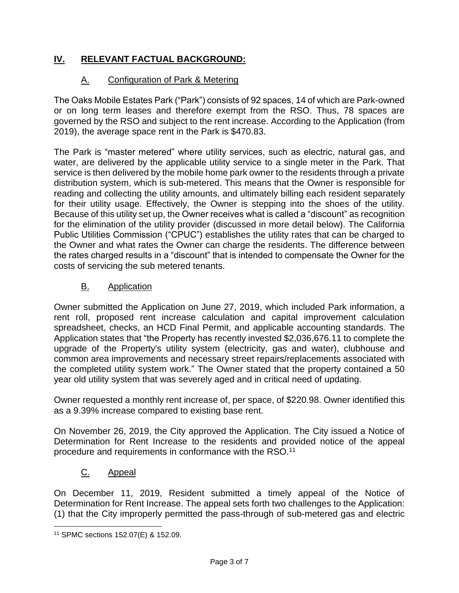# **IV. RELEVANT FACTUAL BACKGROUND:**

# A. Configuration of Park & Metering

The Oaks Mobile Estates Park ("Park") consists of 92 spaces, 14 of which are Park-owned or on long term leases and therefore exempt from the RSO. Thus, 78 spaces are governed by the RSO and subject to the rent increase. According to the Application (from 2019), the average space rent in the Park is \$470.83.

The Park is "master metered" where utility services, such as electric, natural gas, and water, are delivered by the applicable utility service to a single meter in the Park. That service is then delivered by the mobile home park owner to the residents through a private distribution system, which is sub-metered. This means that the Owner is responsible for reading and collecting the utility amounts, and ultimately billing each resident separately for their utility usage. Effectively, the Owner is stepping into the shoes of the utility. Because of this utility set up, the Owner receives what is called a "discount" as recognition for the elimination of the utility provider (discussed in more detail below). The California Public Utilities Commission ("CPUC") establishes the utility rates that can be charged to the Owner and what rates the Owner can charge the residents. The difference between the rates charged results in a "discount" that is intended to compensate the Owner for the costs of servicing the sub metered tenants.

### **B.** Application

Owner submitted the Application on June 27, 2019, which included Park information, a rent roll, proposed rent increase calculation and capital improvement calculation spreadsheet, checks, an HCD Final Permit, and applicable accounting standards. The Application states that "the Property has recently invested \$2,036,676.11 to complete the upgrade of the Property's utility system (electricity, gas and water), clubhouse and common area improvements and necessary street repairs/replacements associated with the completed utility system work." The Owner stated that the property contained a 50 year old utility system that was severely aged and in critical need of updating.

Owner requested a monthly rent increase of, per space, of \$220.98. Owner identified this as a 9.39% increase compared to existing base rent.

On November 26, 2019, the City approved the Application. The City issued a Notice of Determination for Rent Increase to the residents and provided notice of the appeal procedure and requirements in conformance with the RSO.<sup>11</sup>

## C. Appeal

On December 11, 2019, Resident submitted a timely appeal of the Notice of Determination for Rent Increase. The appeal sets forth two challenges to the Application: (1) that the City improperly permitted the pass-through of sub-metered gas and electric

 $\overline{a}$ 

<sup>11</sup> SPMC sections 152.07(E) & 152.09.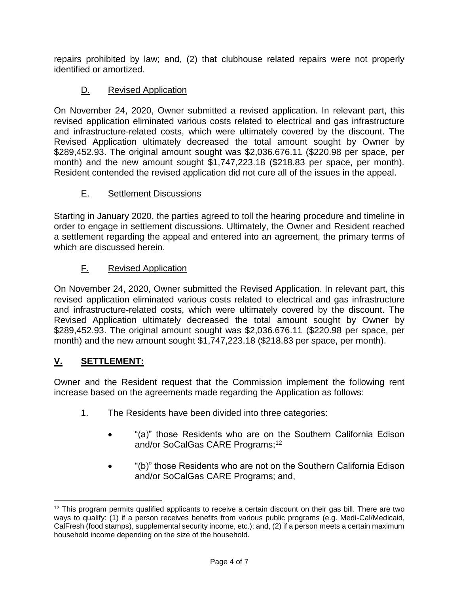repairs prohibited by law; and, (2) that clubhouse related repairs were not properly identified or amortized.

# D. Revised Application

On November 24, 2020, Owner submitted a revised application. In relevant part, this revised application eliminated various costs related to electrical and gas infrastructure and infrastructure-related costs, which were ultimately covered by the discount. The Revised Application ultimately decreased the total amount sought by Owner by \$289,452.93. The original amount sought was \$2,036.676.11 (\$220.98 per space, per month) and the new amount sought \$1,747,223.18 (\$218.83 per space, per month). Resident contended the revised application did not cure all of the issues in the appeal.

# E. Settlement Discussions

Starting in January 2020, the parties agreed to toll the hearing procedure and timeline in order to engage in settlement discussions. Ultimately, the Owner and Resident reached a settlement regarding the appeal and entered into an agreement, the primary terms of which are discussed herein.

# F. Revised Application

On November 24, 2020, Owner submitted the Revised Application. In relevant part, this revised application eliminated various costs related to electrical and gas infrastructure and infrastructure-related costs, which were ultimately covered by the discount. The Revised Application ultimately decreased the total amount sought by Owner by \$289,452.93. The original amount sought was \$2,036.676.11 (\$220.98 per space, per month) and the new amount sought \$1,747,223.18 (\$218.83 per space, per month).

# **V. SETTLEMENT:**

 $\overline{a}$ 

Owner and the Resident request that the Commission implement the following rent increase based on the agreements made regarding the Application as follows:

- 1. The Residents have been divided into three categories:
	- "(a)" those Residents who are on the Southern California Edison and/or SoCalGas CARE Programs;<sup>12</sup>
	- "(b)" those Residents who are not on the Southern California Edison and/or SoCalGas CARE Programs; and,

<sup>12</sup> This program permits qualified applicants to receive a certain discount on their gas bill. There are two ways to qualify: (1) if a person receives benefits from various public programs (e.g. Medi-Cal/Medicaid, CalFresh (food stamps), supplemental security income, etc.); and, (2) if a person meets a certain maximum household income depending on the size of the household.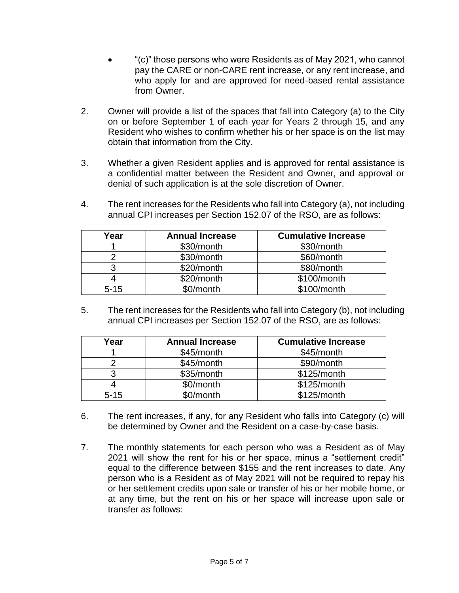- "(c)" those persons who were Residents as of May 2021, who cannot pay the CARE or non-CARE rent increase, or any rent increase, and who apply for and are approved for need-based rental assistance from Owner.
- 2. Owner will provide a list of the spaces that fall into Category (a) to the City on or before September 1 of each year for Years 2 through 15, and any Resident who wishes to confirm whether his or her space is on the list may obtain that information from the City.
- 3. Whether a given Resident applies and is approved for rental assistance is a confidential matter between the Resident and Owner, and approval or denial of such application is at the sole discretion of Owner.
- 4. The rent increases for the Residents who fall into Category (a), not including annual CPI increases per Section 152.07 of the RSO, are as follows:

| Year     | <b>Annual Increase</b> | <b>Cumulative Increase</b> |
|----------|------------------------|----------------------------|
|          | \$30/month             | \$30/month                 |
|          | \$30/month             | \$60/month                 |
|          | \$20/month             | \$80/month                 |
|          | \$20/month             | \$100/month                |
| $5 - 15$ | \$0/month              | \$100/month                |

5. The rent increases for the Residents who fall into Category (b), not including annual CPI increases per Section 152.07 of the RSO, are as follows:

| Year     | <b>Annual Increase</b> | <b>Cumulative Increase</b> |
|----------|------------------------|----------------------------|
|          | \$45/month             | \$45/month                 |
|          | \$45/month             | \$90/month                 |
|          | \$35/month             | \$125/month                |
|          | \$0/month              | \$125/month                |
| $5 - 15$ | \$0/month              | \$125/month                |

- 6. The rent increases, if any, for any Resident who falls into Category (c) will be determined by Owner and the Resident on a case-by-case basis.
- 7. The monthly statements for each person who was a Resident as of May 2021 will show the rent for his or her space, minus a "settlement credit" equal to the difference between \$155 and the rent increases to date. Any person who is a Resident as of May 2021 will not be required to repay his or her settlement credits upon sale or transfer of his or her mobile home, or at any time, but the rent on his or her space will increase upon sale or transfer as follows: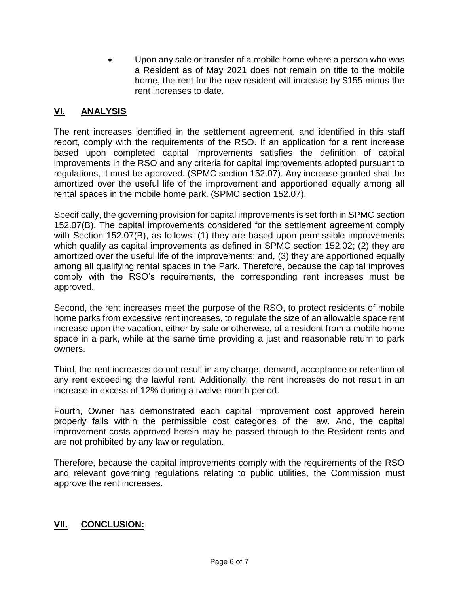Upon any sale or transfer of a mobile home where a person who was a Resident as of May 2021 does not remain on title to the mobile home, the rent for the new resident will increase by \$155 minus the rent increases to date.

### **VI. ANALYSIS**

The rent increases identified in the settlement agreement, and identified in this staff report, comply with the requirements of the RSO. If an application for a rent increase based upon completed capital improvements satisfies the definition of capital improvements in the RSO and any criteria for capital improvements adopted pursuant to regulations, it must be approved. (SPMC section 152.07). Any increase granted shall be amortized over the useful life of the improvement and apportioned equally among all rental spaces in the mobile home park. (SPMC section 152.07).

Specifically, the governing provision for capital improvements is set forth in SPMC section 152.07(B). The capital improvements considered for the settlement agreement comply with Section 152.07(B), as follows: (1) they are based upon permissible improvements which qualify as capital improvements as defined in SPMC section 152.02; (2) they are amortized over the useful life of the improvements; and, (3) they are apportioned equally among all qualifying rental spaces in the Park. Therefore, because the capital improves comply with the RSO's requirements, the corresponding rent increases must be approved.

Second, the rent increases meet the purpose of the RSO, to protect residents of mobile home parks from excessive rent increases, to regulate the size of an allowable space rent increase upon the vacation, either by sale or otherwise, of a resident from a mobile home space in a park, while at the same time providing a just and reasonable return to park owners.

Third, the rent increases do not result in any charge, demand, acceptance or retention of any rent exceeding the lawful rent. Additionally, the rent increases do not result in an increase in excess of 12% during a twelve-month period.

Fourth, Owner has demonstrated each capital improvement cost approved herein properly falls within the permissible cost categories of the law. And, the capital improvement costs approved herein may be passed through to the Resident rents and are not prohibited by any law or regulation.

Therefore, because the capital improvements comply with the requirements of the RSO and relevant governing regulations relating to public utilities, the Commission must approve the rent increases.

### **VII. CONCLUSION:**